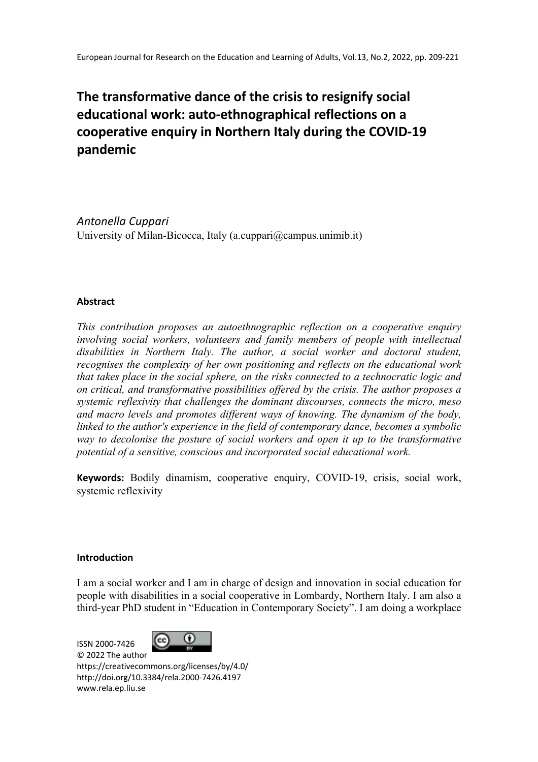# **The transformative dance of the crisis to resignify social educational work: auto-ethnographical reflections on a cooperative enquiry in Northern Italy during the COVID-19 pandemic**

*Antonella Cuppari* University of Milan-Bicocca, Italy (a.cuppari@campus.unimib.it)

# **Abstract**

*This contribution proposes an autoethnographic reflection on a cooperative enquiry involving social workers, volunteers and family members of people with intellectual disabilities in Northern Italy. The author, a social worker and doctoral student, recognises the complexity of her own positioning and reflects on the educational work that takes place in the social sphere, on the risks connected to a technocratic logic and on critical, and transformative possibilities offered by the crisis. The author proposes a systemic reflexivity that challenges the dominant discourses, connects the micro, meso and macro levels and promotes different ways of knowing. The dynamism of the body, linked to the author's experience in the field of contemporary dance, becomes a symbolic way to decolonise the posture of social workers and open it up to the transformative potential of a sensitive, conscious and incorporated social educational work.*

**Keywords:** Bodily dinamism, cooperative enquiry, COVID-19, crisis, social work, systemic reflexivity

# **Introduction**

I am a social worker and I am in charge of design and innovation in social education for people with disabilities in a social cooperative in Lombardy, Northern Italy. I am also a third-year PhD student in "Education in Contemporary Society". I am doing a workplace

 $\binom{cc}{}$ ISSN 2000-7426 © 2022 The author https://creativecommons.org/licenses/by/4.0/ http://doi.org/10.3384/rela.2000-7426.4197 www.rela.ep.liu.se

⋒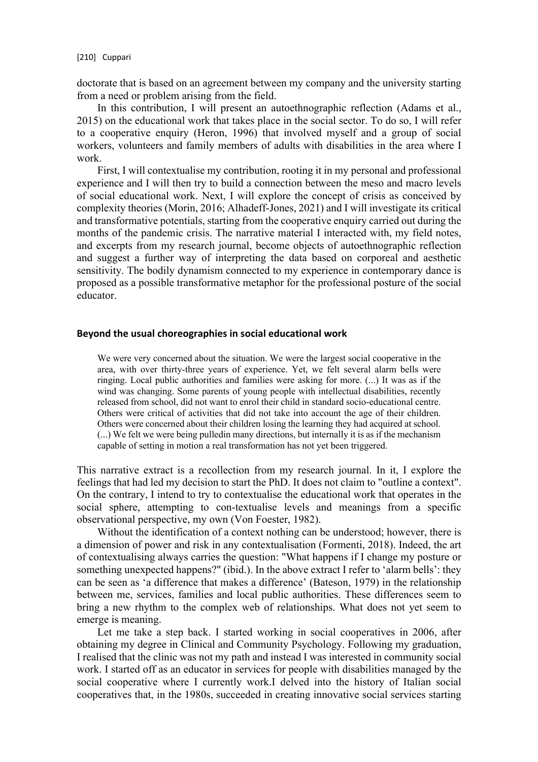doctorate that is based on an agreement between my company and the university starting from a need or problem arising from the field.

In this contribution, I will present an autoethnographic reflection (Adams et al., 2015) on the educational work that takes place in the social sector. To do so, I will refer to a cooperative enquiry (Heron, 1996) that involved myself and a group of social workers, volunteers and family members of adults with disabilities in the area where I work.

First, I will contextualise my contribution, rooting it in my personal and professional experience and I will then try to build a connection between the meso and macro levels of social educational work. Next, I will explore the concept of crisis as conceived by complexity theories (Morin, 2016; Alhadeff-Jones, 2021) and I will investigate its critical and transformative potentials, starting from the cooperative enquiry carried out during the months of the pandemic crisis. The narrative material I interacted with, my field notes, and excerpts from my research journal, become objects of autoethnographic reflection and suggest a further way of interpreting the data based on corporeal and aesthetic sensitivity. The bodily dynamism connected to my experience in contemporary dance is proposed as a possible transformative metaphor for the professional posture of the social educator.

# **Beyond the usual choreographies in social educational work**

We were very concerned about the situation. We were the largest social cooperative in the area, with over thirty-three years of experience. Yet, we felt several alarm bells were ringing. Local public authorities and families were asking for more. (...) It was as if the wind was changing. Some parents of young people with intellectual disabilities, recently released from school, did not want to enrol their child in standard socio-educational centre. Others were critical of activities that did not take into account the age of their children. Others were concerned about their children losing the learning they had acquired at school. (...) We felt we were being pulledin many directions, but internally it is as if the mechanism capable of setting in motion a real transformation has not yet been triggered.

This narrative extract is a recollection from my research journal. In it, I explore the feelings that had led my decision to start the PhD. It does not claim to "outline a context". On the contrary, I intend to try to contextualise the educational work that operates in the social sphere, attempting to con-textualise levels and meanings from a specific observational perspective, my own (Von Foester, 1982).

Without the identification of a context nothing can be understood; however, there is a dimension of power and risk in any contextualisation (Formenti, 2018). Indeed, the art of contextualising always carries the question: "What happens if I change my posture or something unexpected happens?" (ibid.). In the above extract I refer to 'alarm bells': they can be seen as 'a difference that makes a difference' (Bateson, 1979) in the relationship between me, services, families and local public authorities. These differences seem to bring a new rhythm to the complex web of relationships. What does not yet seem to emerge is meaning.

Let me take a step back. I started working in social cooperatives in 2006, after obtaining my degree in Clinical and Community Psychology. Following my graduation, I realised that the clinic was not my path and instead I was interested in community social work. I started off as an educator in services for people with disabilities managed by the social cooperative where I currently work.I delved into the history of Italian social cooperatives that, in the 1980s, succeeded in creating innovative social services starting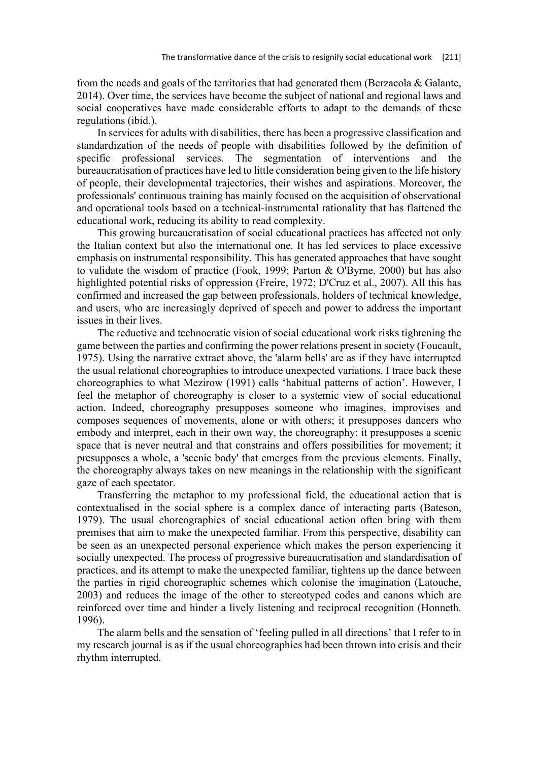from the needs and goals of the territories that had generated them (Berzacola & Galante, 2014). Over time, the services have become the subject of national and regional laws and social cooperatives have made considerable efforts to adapt to the demands of these regulations (ibid.).

In services for adults with disabilities, there has been a progressive classification and standardization of the needs of people with disabilities followed by the definition of specific professional services. The segmentation of interventions and the bureaucratisation of practices have led to little consideration being given to the life history of people, their developmental trajectories, their wishes and aspirations. Moreover, the professionals' continuous training has mainly focused on the acquisition of observational and operational tools based on a technical-instrumental rationality that has flattened the educational work, reducing its ability to read complexity.

This growing bureaucratisation of social educational practices has affected not only the Italian context but also the international one. It has led services to place excessive emphasis on instrumental responsibility. This has generated approaches that have sought to validate the wisdom of practice (Fook, 1999; Parton & O'Byrne, 2000) but has also highlighted potential risks of oppression (Freire, 1972; D'Cruz et al., 2007). All this has confirmed and increased the gap between professionals, holders of technical knowledge, and users, who are increasingly deprived of speech and power to address the important issues in their lives.

The reductive and technocratic vision of social educational work risks tightening the game between the parties and confirming the power relations present in society (Foucault, 1975). Using the narrative extract above, the 'alarm bells' are as if they have interrupted the usual relational choreographies to introduce unexpected variations. I trace back these choreographies to what Mezirow (1991) calls 'habitual patterns of action'. However, I feel the metaphor of choreography is closer to a systemic view of social educational action. Indeed, choreography presupposes someone who imagines, improvises and composes sequences of movements, alone or with others; it presupposes dancers who embody and interpret, each in their own way, the choreography; it presupposes a scenic space that is never neutral and that constrains and offers possibilities for movement; it presupposes a whole, a 'scenic body' that emerges from the previous elements. Finally, the choreography always takes on new meanings in the relationship with the significant gaze of each spectator.

Transferring the metaphor to my professional field, the educational action that is contextualised in the social sphere is a complex dance of interacting parts (Bateson, 1979). The usual choreographies of social educational action often bring with them premises that aim to make the unexpected familiar. From this perspective, disability can be seen as an unexpected personal experience which makes the person experiencing it socially unexpected. The process of progressive bureaucratisation and standardisation of practices, and its attempt to make the unexpected familiar, tightens up the dance between the parties in rigid choreographic schemes which colonise the imagination (Latouche, 2003) and reduces the image of the other to stereotyped codes and canons which are reinforced over time and hinder a lively listening and reciprocal recognition (Honneth. 1996).

The alarm bells and the sensation of 'feeling pulled in all directions' that I refer to in my research journal is as if the usual choreographies had been thrown into crisis and their rhythm interrupted.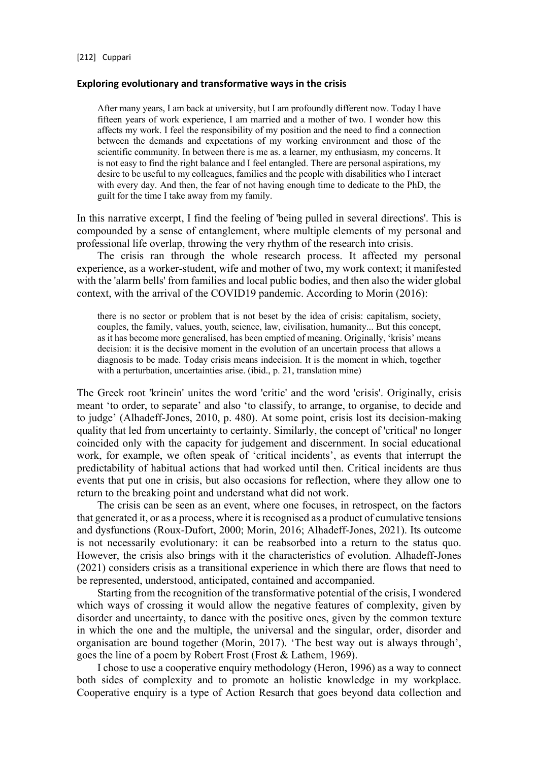#### **Exploring evolutionary and transformative ways in the crisis**

After many years, I am back at university, but I am profoundly different now. Today I have fifteen years of work experience, I am married and a mother of two. I wonder how this affects my work. I feel the responsibility of my position and the need to find a connection between the demands and expectations of my working environment and those of the scientific community. In between there is me as. a learner, my enthusiasm, my concerns. It is not easy to find the right balance and I feel entangled. There are personal aspirations, my desire to be useful to my colleagues, families and the people with disabilities who I interact with every day. And then, the fear of not having enough time to dedicate to the PhD, the guilt for the time I take away from my family.

In this narrative excerpt, I find the feeling of 'being pulled in several directions'. This is compounded by a sense of entanglement, where multiple elements of my personal and professional life overlap, throwing the very rhythm of the research into crisis.

The crisis ran through the whole research process. It affected my personal experience, as a worker-student, wife and mother of two, my work context; it manifested with the 'alarm bells' from families and local public bodies, and then also the wider global context, with the arrival of the COVID19 pandemic. According to Morin (2016):

there is no sector or problem that is not beset by the idea of crisis: capitalism, society, couples, the family, values, youth, science, law, civilisation, humanity... But this concept, as it has become more generalised, has been emptied of meaning. Originally, 'krisis' means decision: it is the decisive moment in the evolution of an uncertain process that allows a diagnosis to be made. Today crisis means indecision. It is the moment in which, together with a perturbation, uncertainties arise. (ibid., p. 21, translation mine)

The Greek root 'krinein' unites the word 'critic' and the word 'crisis'. Originally, crisis meant 'to order, to separate' and also 'to classify, to arrange, to organise, to decide and to judge' (Alhadeff-Jones, 2010, p. 480). At some point, crisis lost its decision-making quality that led from uncertainty to certainty. Similarly, the concept of 'critical' no longer coincided only with the capacity for judgement and discernment. In social educational work, for example, we often speak of 'critical incidents', as events that interrupt the predictability of habitual actions that had worked until then. Critical incidents are thus events that put one in crisis, but also occasions for reflection, where they allow one to return to the breaking point and understand what did not work.

The crisis can be seen as an event, where one focuses, in retrospect, on the factors that generated it, or as a process, where it is recognised as a product of cumulative tensions and dysfunctions (Roux-Dufort, 2000; Morin, 2016; Alhadeff-Jones, 2021). Its outcome is not necessarily evolutionary: it can be reabsorbed into a return to the status quo. However, the crisis also brings with it the characteristics of evolution. Alhadeff-Jones (2021) considers crisis as a transitional experience in which there are flows that need to be represented, understood, anticipated, contained and accompanied.

Starting from the recognition of the transformative potential of the crisis, I wondered which ways of crossing it would allow the negative features of complexity, given by disorder and uncertainty, to dance with the positive ones, given by the common texture in which the one and the multiple, the universal and the singular, order, disorder and organisation are bound together (Morin, 2017). 'The best way out is always through', goes the line of a poem by Robert Frost (Frost & Lathem, 1969).

I chose to use a cooperative enquiry methodology (Heron, 1996) as a way to connect both sides of complexity and to promote an holistic knowledge in my workplace. Cooperative enquiry is a type of Action Resarch that goes beyond data collection and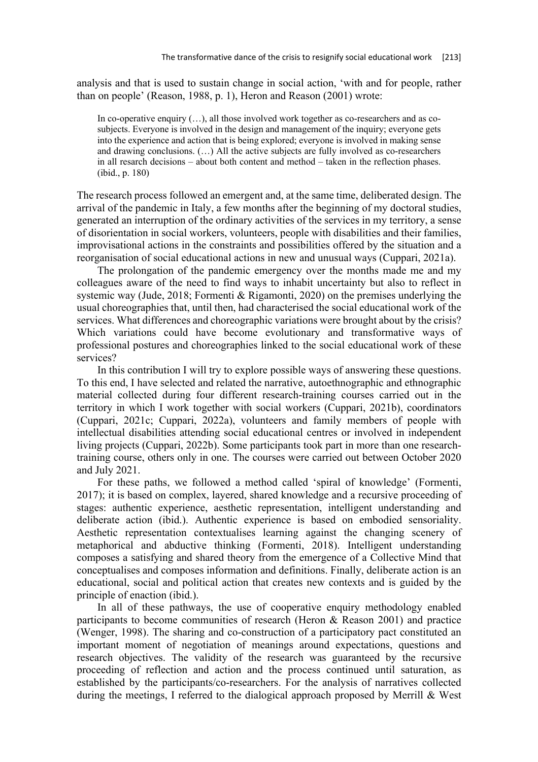analysis and that is used to sustain change in social action, 'with and for people, rather than on people' (Reason, 1988, p. 1), Heron and Reason (2001) wrote:

In co-operative enquiry  $(...)$ , all those involved work together as co-researchers and as cosubjects. Everyone is involved in the design and management of the inquiry; everyone gets into the experience and action that is being explored; everyone is involved in making sense and drawing conclusions. (…) All the active subjects are fully involved as co-researchers in all resarch decisions – about both content and method – taken in the reflection phases. (ibid., p. 180)

The research process followed an emergent and, at the same time, deliberated design. The arrival of the pandemic in Italy, a few months after the beginning of my doctoral studies, generated an interruption of the ordinary activities of the services in my territory, a sense of disorientation in social workers, volunteers, people with disabilities and their families, improvisational actions in the constraints and possibilities offered by the situation and a reorganisation of social educational actions in new and unusual ways (Cuppari, 2021a).

The prolongation of the pandemic emergency over the months made me and my colleagues aware of the need to find ways to inhabit uncertainty but also to reflect in systemic way (Jude, 2018; Formenti & Rigamonti, 2020) on the premises underlying the usual choreographies that, until then, had characterised the social educational work of the services. What differences and choreographic variations were brought about by the crisis? Which variations could have become evolutionary and transformative ways of professional postures and choreographies linked to the social educational work of these services?

In this contribution I will try to explore possible ways of answering these questions. To this end, I have selected and related the narrative, autoethnographic and ethnographic material collected during four different research-training courses carried out in the territory in which I work together with social workers (Cuppari, 2021b), coordinators (Cuppari, 2021c; Cuppari, 2022a), volunteers and family members of people with intellectual disabilities attending social educational centres or involved in independent living projects (Cuppari, 2022b). Some participants took part in more than one researchtraining course, others only in one. The courses were carried out between October 2020 and July 2021.

For these paths, we followed a method called 'spiral of knowledge' (Formenti, 2017); it is based on complex, layered, shared knowledge and a recursive proceeding of stages: authentic experience, aesthetic representation, intelligent understanding and deliberate action (ibid.). Authentic experience is based on embodied sensoriality. Aesthetic representation contextualises learning against the changing scenery of metaphorical and abductive thinking (Formenti, 2018). Intelligent understanding composes a satisfying and shared theory from the emergence of a Collective Mind that conceptualises and composes information and definitions. Finally, deliberate action is an educational, social and political action that creates new contexts and is guided by the principle of enaction (ibid.).

In all of these pathways, the use of cooperative enquiry methodology enabled participants to become communities of research (Heron & Reason 2001) and practice (Wenger, 1998). The sharing and co-construction of a participatory pact constituted an important moment of negotiation of meanings around expectations, questions and research objectives. The validity of the research was guaranteed by the recursive proceeding of reflection and action and the process continued until saturation, as established by the participants/co-researchers. For the analysis of narratives collected during the meetings, I referred to the dialogical approach proposed by Merrill & West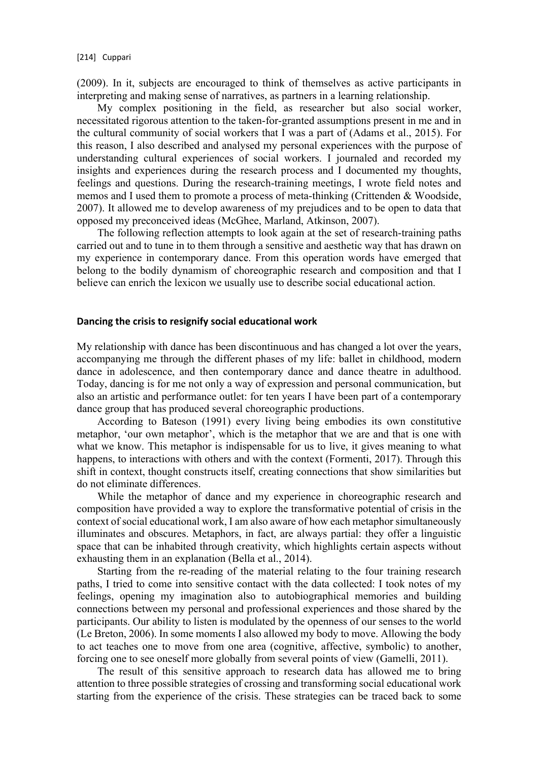(2009). In it, subjects are encouraged to think of themselves as active participants in interpreting and making sense of narratives, as partners in a learning relationship.

My complex positioning in the field, as researcher but also social worker, necessitated rigorous attention to the taken-for-granted assumptions present in me and in the cultural community of social workers that I was a part of (Adams et al., 2015). For this reason, I also described and analysed my personal experiences with the purpose of understanding cultural experiences of social workers. I journaled and recorded my insights and experiences during the research process and I documented my thoughts, feelings and questions. During the research-training meetings, I wrote field notes and memos and I used them to promote a process of meta-thinking (Crittenden & Woodside, 2007). It allowed me to develop awareness of my prejudices and to be open to data that opposed my preconceived ideas (McGhee, Marland, Atkinson, 2007).

The following reflection attempts to look again at the set of research-training paths carried out and to tune in to them through a sensitive and aesthetic way that has drawn on my experience in contemporary dance. From this operation words have emerged that belong to the bodily dynamism of choreographic research and composition and that I believe can enrich the lexicon we usually use to describe social educational action.

# **Dancing the crisis to resignify social educational work**

My relationship with dance has been discontinuous and has changed a lot over the years, accompanying me through the different phases of my life: ballet in childhood, modern dance in adolescence, and then contemporary dance and dance theatre in adulthood. Today, dancing is for me not only a way of expression and personal communication, but also an artistic and performance outlet: for ten years I have been part of a contemporary dance group that has produced several choreographic productions.

According to Bateson (1991) every living being embodies its own constitutive metaphor, 'our own metaphor', which is the metaphor that we are and that is one with what we know. This metaphor is indispensable for us to live, it gives meaning to what happens, to interactions with others and with the context (Formenti, 2017). Through this shift in context, thought constructs itself, creating connections that show similarities but do not eliminate differences.

While the metaphor of dance and my experience in choreographic research and composition have provided a way to explore the transformative potential of crisis in the context of social educational work, I am also aware of how each metaphor simultaneously illuminates and obscures. Metaphors, in fact, are always partial: they offer a linguistic space that can be inhabited through creativity, which highlights certain aspects without exhausting them in an explanation (Bella et al., 2014).

Starting from the re-reading of the material relating to the four training research paths, I tried to come into sensitive contact with the data collected: I took notes of my feelings, opening my imagination also to autobiographical memories and building connections between my personal and professional experiences and those shared by the participants. Our ability to listen is modulated by the openness of our senses to the world (Le Breton, 2006). In some moments I also allowed my body to move. Allowing the body to act teaches one to move from one area (cognitive, affective, symbolic) to another, forcing one to see oneself more globally from several points of view (Gamelli, 2011).

The result of this sensitive approach to research data has allowed me to bring attention to three possible strategies of crossing and transforming social educational work starting from the experience of the crisis. These strategies can be traced back to some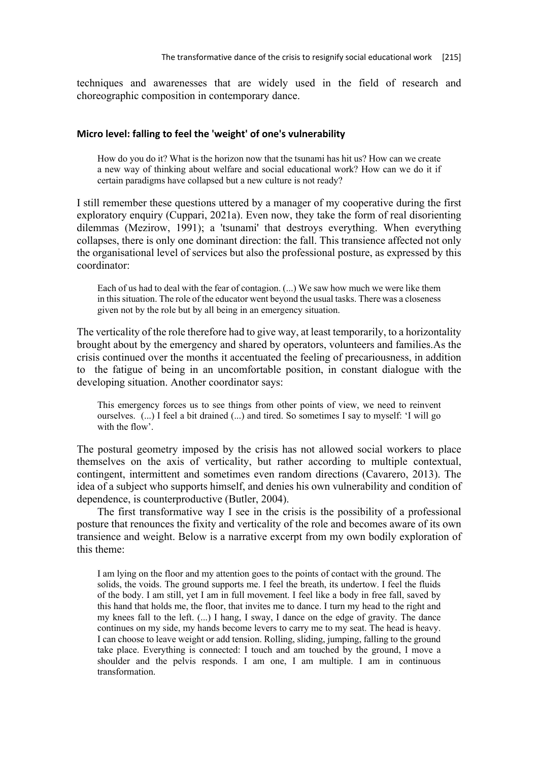techniques and awarenesses that are widely used in the field of research and choreographic composition in contemporary dance.

# **Micro level: falling to feel the 'weight' of one's vulnerability**

How do you do it? What is the horizon now that the tsunami has hit us? How can we create a new way of thinking about welfare and social educational work? How can we do it if certain paradigms have collapsed but a new culture is not ready?

I still remember these questions uttered by a manager of my cooperative during the first exploratory enquiry (Cuppari, 2021a). Even now, they take the form of real disorienting dilemmas (Mezirow, 1991); a 'tsunami' that destroys everything. When everything collapses, there is only one dominant direction: the fall. This transience affected not only the organisational level of services but also the professional posture, as expressed by this coordinator:

Each of us had to deal with the fear of contagion. (...) We saw how much we were like them in this situation. The role of the educator went beyond the usual tasks. There was a closeness given not by the role but by all being in an emergency situation.

The verticality of the role therefore had to give way, at least temporarily, to a horizontality brought about by the emergency and shared by operators, volunteers and families.As the crisis continued over the months it accentuated the feeling of precariousness, in addition to the fatigue of being in an uncomfortable position, in constant dialogue with the developing situation. Another coordinator says:

This emergency forces us to see things from other points of view, we need to reinvent ourselves. (...) I feel a bit drained (...) and tired. So sometimes I say to myself: 'I will go with the flow'.

The postural geometry imposed by the crisis has not allowed social workers to place themselves on the axis of verticality, but rather according to multiple contextual, contingent, intermittent and sometimes even random directions (Cavarero, 2013). The idea of a subject who supports himself, and denies his own vulnerability and condition of dependence, is counterproductive (Butler, 2004).

The first transformative way I see in the crisis is the possibility of a professional posture that renounces the fixity and verticality of the role and becomes aware of its own transience and weight. Below is a narrative excerpt from my own bodily exploration of this theme:

I am lying on the floor and my attention goes to the points of contact with the ground. The solids, the voids. The ground supports me. I feel the breath, its undertow. I feel the fluids of the body. I am still, yet I am in full movement. I feel like a body in free fall, saved by this hand that holds me, the floor, that invites me to dance. I turn my head to the right and my knees fall to the left. (...) I hang, I sway, I dance on the edge of gravity. The dance continues on my side, my hands become levers to carry me to my seat. The head is heavy. I can choose to leave weight or add tension. Rolling, sliding, jumping, falling to the ground take place. Everything is connected: I touch and am touched by the ground, I move a shoulder and the pelvis responds. I am one, I am multiple. I am in continuous transformation.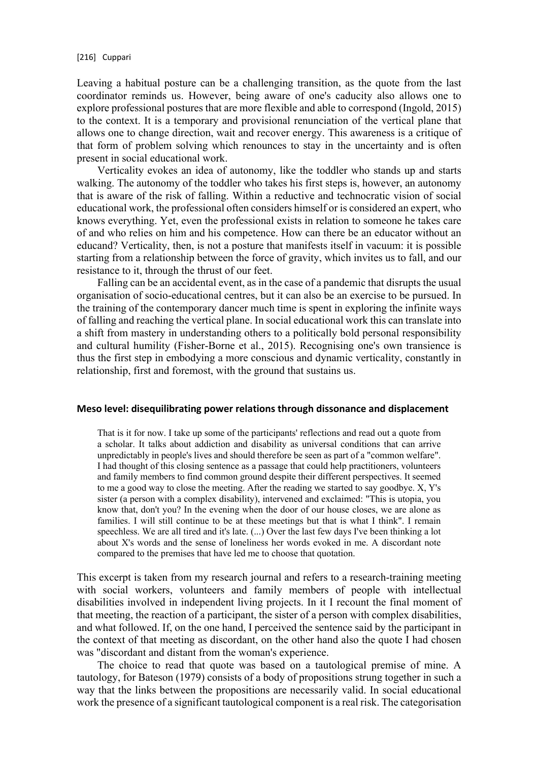Leaving a habitual posture can be a challenging transition, as the quote from the last coordinator reminds us. However, being aware of one's caducity also allows one to explore professional postures that are more flexible and able to correspond (Ingold, 2015) to the context. It is a temporary and provisional renunciation of the vertical plane that allows one to change direction, wait and recover energy. This awareness is a critique of that form of problem solving which renounces to stay in the uncertainty and is often present in social educational work.

Verticality evokes an idea of autonomy, like the toddler who stands up and starts walking. The autonomy of the toddler who takes his first steps is, however, an autonomy that is aware of the risk of falling. Within a reductive and technocratic vision of social educational work, the professional often considers himself or is considered an expert, who knows everything. Yet, even the professional exists in relation to someone he takes care of and who relies on him and his competence. How can there be an educator without an educand? Verticality, then, is not a posture that manifests itself in vacuum: it is possible starting from a relationship between the force of gravity, which invites us to fall, and our resistance to it, through the thrust of our feet.

Falling can be an accidental event, as in the case of a pandemic that disrupts the usual organisation of socio-educational centres, but it can also be an exercise to be pursued. In the training of the contemporary dancer much time is spent in exploring the infinite ways of falling and reaching the vertical plane. In social educational work this can translate into a shift from mastery in understanding others to a politically bold personal responsibility and cultural humility (Fisher-Borne et al., 2015). Recognising one's own transience is thus the first step in embodying a more conscious and dynamic verticality, constantly in relationship, first and foremost, with the ground that sustains us.

#### **Meso level: disequilibrating power relations through dissonance and displacement**

That is it for now. I take up some of the participants' reflections and read out a quote from a scholar. It talks about addiction and disability as universal conditions that can arrive unpredictably in people's lives and should therefore be seen as part of a "common welfare". I had thought of this closing sentence as a passage that could help practitioners, volunteers and family members to find common ground despite their different perspectives. It seemed to me a good way to close the meeting. After the reading we started to say goodbye. X, Y's sister (a person with a complex disability), intervened and exclaimed: "This is utopia, you know that, don't you? In the evening when the door of our house closes, we are alone as families. I will still continue to be at these meetings but that is what I think". I remain speechless. We are all tired and it's late.  $(...)$  Over the last few days I've been thinking a lot about X's words and the sense of loneliness her words evoked in me. A discordant note compared to the premises that have led me to choose that quotation.

This excerpt is taken from my research journal and refers to a research-training meeting with social workers, volunteers and family members of people with intellectual disabilities involved in independent living projects. In it I recount the final moment of that meeting, the reaction of a participant, the sister of a person with complex disabilities, and what followed. If, on the one hand, I perceived the sentence said by the participant in the context of that meeting as discordant, on the other hand also the quote I had chosen was "discordant and distant from the woman's experience.

The choice to read that quote was based on a tautological premise of mine. A tautology, for Bateson (1979) consists of a body of propositions strung together in such a way that the links between the propositions are necessarily valid. In social educational work the presence of a significant tautological component is a real risk. The categorisation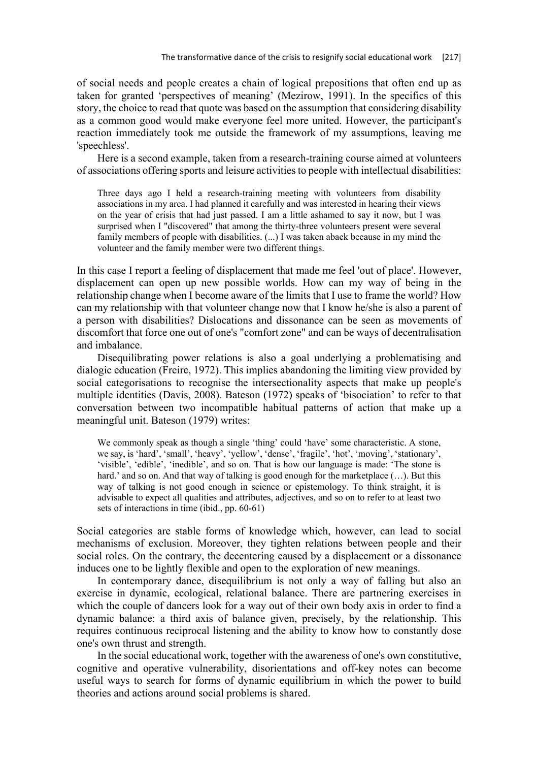of social needs and people creates a chain of logical prepositions that often end up as taken for granted 'perspectives of meaning' (Mezirow, 1991). In the specifics of this story, the choice to read that quote was based on the assumption that considering disability as a common good would make everyone feel more united. However, the participant's reaction immediately took me outside the framework of my assumptions, leaving me 'speechless'.

Here is a second example, taken from a research-training course aimed at volunteers of associations offering sports and leisure activities to people with intellectual disabilities:

Three days ago I held a research-training meeting with volunteers from disability associations in my area. I had planned it carefully and was interested in hearing their views on the year of crisis that had just passed. I am a little ashamed to say it now, but I was surprised when I "discovered" that among the thirty-three volunteers present were several family members of people with disabilities. (...) I was taken aback because in my mind the volunteer and the family member were two different things.

In this case I report a feeling of displacement that made me feel 'out of place'. However, displacement can open up new possible worlds. How can my way of being in the relationship change when I become aware of the limits that I use to frame the world? How can my relationship with that volunteer change now that I know he/she is also a parent of a person with disabilities? Dislocations and dissonance can be seen as movements of discomfort that force one out of one's "comfort zone" and can be ways of decentralisation and imbalance.

Disequilibrating power relations is also a goal underlying a problematising and dialogic education (Freire, 1972). This implies abandoning the limiting view provided by social categorisations to recognise the intersectionality aspects that make up people's multiple identities (Davis, 2008). Bateson (1972) speaks of 'bisociation' to refer to that conversation between two incompatible habitual patterns of action that make up a meaningful unit. Bateson (1979) writes:

We commonly speak as though a single 'thing' could 'have' some characteristic. A stone, we say, is 'hard', 'small', 'heavy', 'yellow', 'dense', 'fragile', 'hot', 'moving', 'stationary', 'visible', 'edible', 'inedible', and so on. That is how our language is made: 'The stone is hard.' and so on. And that way of talking is good enough for the marketplace  $(\dots)$ . But this way of talking is not good enough in science or epistemology. To think straight, it is advisable to expect all qualities and attributes, adjectives, and so on to refer to at least two sets of interactions in time (ibid., pp. 60-61)

Social categories are stable forms of knowledge which, however, can lead to social mechanisms of exclusion. Moreover, they tighten relations between people and their social roles. On the contrary, the decentering caused by a displacement or a dissonance induces one to be lightly flexible and open to the exploration of new meanings.

In contemporary dance, disequilibrium is not only a way of falling but also an exercise in dynamic, ecological, relational balance. There are partnering exercises in which the couple of dancers look for a way out of their own body axis in order to find a dynamic balance: a third axis of balance given, precisely, by the relationship. This requires continuous reciprocal listening and the ability to know how to constantly dose one's own thrust and strength.

In the social educational work, together with the awareness of one's own constitutive, cognitive and operative vulnerability, disorientations and off-key notes can become useful ways to search for forms of dynamic equilibrium in which the power to build theories and actions around social problems is shared.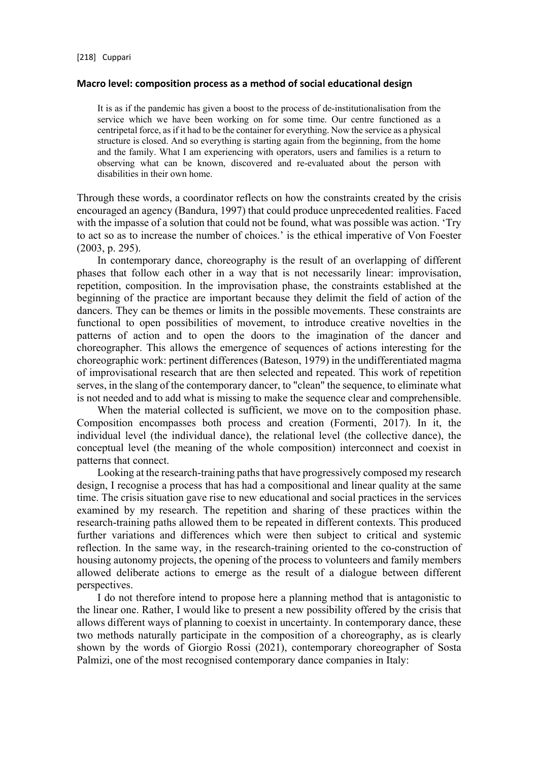## **Macro level: composition process as a method of social educational design**

It is as if the pandemic has given a boost to the process of de-institutionalisation from the service which we have been working on for some time. Our centre functioned as a centripetal force, as if it had to be the container for everything. Now the service as a physical structure is closed. And so everything is starting again from the beginning, from the home and the family. What I am experiencing with operators, users and families is a return to observing what can be known, discovered and re-evaluated about the person with disabilities in their own home.

Through these words, a coordinator reflects on how the constraints created by the crisis encouraged an agency (Bandura, 1997) that could produce unprecedented realities. Faced with the impasse of a solution that could not be found, what was possible was action. 'Try to act so as to increase the number of choices.' is the ethical imperative of Von Foester (2003, p. 295).

In contemporary dance, choreography is the result of an overlapping of different phases that follow each other in a way that is not necessarily linear: improvisation, repetition, composition. In the improvisation phase, the constraints established at the beginning of the practice are important because they delimit the field of action of the dancers. They can be themes or limits in the possible movements. These constraints are functional to open possibilities of movement, to introduce creative novelties in the patterns of action and to open the doors to the imagination of the dancer and choreographer. This allows the emergence of sequences of actions interesting for the choreographic work: pertinent differences (Bateson, 1979) in the undifferentiated magma of improvisational research that are then selected and repeated. This work of repetition serves, in the slang of the contemporary dancer, to "clean" the sequence, to eliminate what is not needed and to add what is missing to make the sequence clear and comprehensible.

When the material collected is sufficient, we move on to the composition phase. Composition encompasses both process and creation (Formenti, 2017). In it, the individual level (the individual dance), the relational level (the collective dance), the conceptual level (the meaning of the whole composition) interconnect and coexist in patterns that connect.

Looking at the research-training paths that have progressively composed my research design, I recognise a process that has had a compositional and linear quality at the same time. The crisis situation gave rise to new educational and social practices in the services examined by my research. The repetition and sharing of these practices within the research-training paths allowed them to be repeated in different contexts. This produced further variations and differences which were then subject to critical and systemic reflection. In the same way, in the research-training oriented to the co-construction of housing autonomy projects, the opening of the process to volunteers and family members allowed deliberate actions to emerge as the result of a dialogue between different perspectives.

I do not therefore intend to propose here a planning method that is antagonistic to the linear one. Rather, I would like to present a new possibility offered by the crisis that allows different ways of planning to coexist in uncertainty. In contemporary dance, these two methods naturally participate in the composition of a choreography, as is clearly shown by the words of Giorgio Rossi (2021), contemporary choreographer of Sosta Palmizi, one of the most recognised contemporary dance companies in Italy: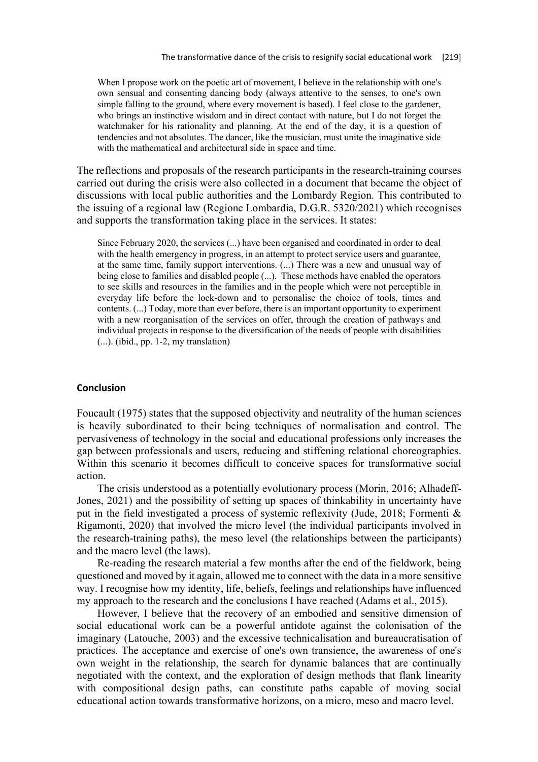When I propose work on the poetic art of movement, I believe in the relationship with one's own sensual and consenting dancing body (always attentive to the senses, to one's own simple falling to the ground, where every movement is based). I feel close to the gardener, who brings an instinctive wisdom and in direct contact with nature, but I do not forget the watchmaker for his rationality and planning. At the end of the day, it is a question of tendencies and not absolutes. The dancer, like the musician, must unite the imaginative side with the mathematical and architectural side in space and time.

The reflections and proposals of the research participants in the research-training courses carried out during the crisis were also collected in a document that became the object of discussions with local public authorities and the Lombardy Region. This contributed to the issuing of a regional law (Regione Lombardia, D.G.R. 5320/2021) which recognises and supports the transformation taking place in the services. It states:

Since February 2020, the services (...) have been organised and coordinated in order to deal with the health emergency in progress, in an attempt to protect service users and guarantee, at the same time, family support interventions. (...) There was a new and unusual way of being close to families and disabled people (...). These methods have enabled the operators to see skills and resources in the families and in the people which were not perceptible in everyday life before the lock-down and to personalise the choice of tools, times and contents. (...) Today, more than ever before, there is an important opportunity to experiment with a new reorganisation of the services on offer, through the creation of pathways and individual projects in response to the diversification of the needs of people with disabilities (...). (ibid., pp. 1-2, my translation)

## **Conclusion**

Foucault (1975) states that the supposed objectivity and neutrality of the human sciences is heavily subordinated to their being techniques of normalisation and control. The pervasiveness of technology in the social and educational professions only increases the gap between professionals and users, reducing and stiffening relational choreographies. Within this scenario it becomes difficult to conceive spaces for transformative social action.

The crisis understood as a potentially evolutionary process (Morin, 2016; Alhadeff-Jones, 2021) and the possibility of setting up spaces of thinkability in uncertainty have put in the field investigated a process of systemic reflexivity (Jude, 2018; Formenti & Rigamonti, 2020) that involved the micro level (the individual participants involved in the research-training paths), the meso level (the relationships between the participants) and the macro level (the laws).

Re-reading the research material a few months after the end of the fieldwork, being questioned and moved by it again, allowed me to connect with the data in a more sensitive way. I recognise how my identity, life, beliefs, feelings and relationships have influenced my approach to the research and the conclusions I have reached (Adams et al., 2015).

However, I believe that the recovery of an embodied and sensitive dimension of social educational work can be a powerful antidote against the colonisation of the imaginary (Latouche, 2003) and the excessive technicalisation and bureaucratisation of practices. The acceptance and exercise of one's own transience, the awareness of one's own weight in the relationship, the search for dynamic balances that are continually negotiated with the context, and the exploration of design methods that flank linearity with compositional design paths, can constitute paths capable of moving social educational action towards transformative horizons, on a micro, meso and macro level.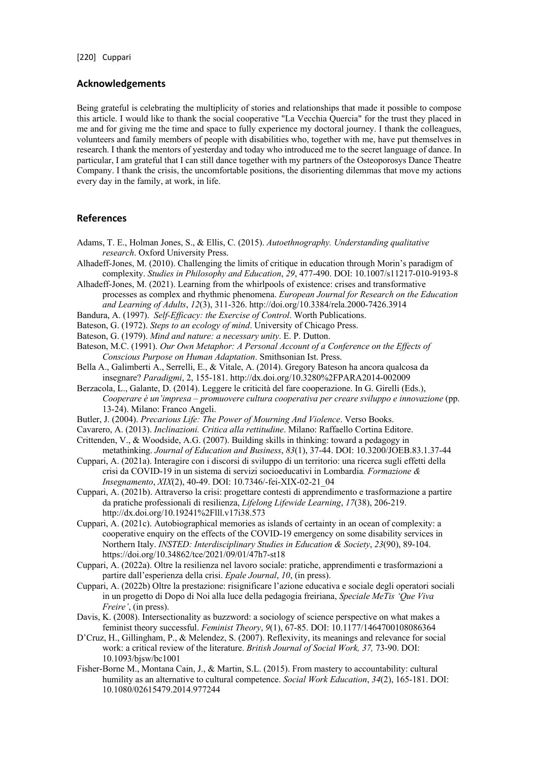## **Acknowledgements**

Being grateful is celebrating the multiplicity of stories and relationships that made it possible to compose this article. I would like to thank the social cooperative "La Vecchia Quercia" for the trust they placed in me and for giving me the time and space to fully experience my doctoral journey. I thank the colleagues, volunteers and family members of people with disabilities who, together with me, have put themselves in research. I thank the mentors of yesterday and today who introduced me to the secret language of dance. In particular, I am grateful that I can still dance together with my partners of the Osteoporosys Dance Theatre Company. I thank the crisis, the uncomfortable positions, the disorienting dilemmas that move my actions every day in the family, at work, in life.

## **References**

- Adams, T. E., Holman Jones, S., & Ellis, C. (2015). *Autoethnography. Understanding qualitative research*. Oxford University Press.
- Alhadeff-Jones, M. (2010). Challenging the limits of critique in education through Morin's paradigm of complexity. *Studies in Philosophy and Education*, *29*, 477-490. DOI: 10.1007/s11217-010-9193-8
- Alhadeff-Jones, M. (2021). Learning from the whirlpools of existence: crises and transformative processes as complex and rhythmic phenomena. *European Journal for Research on the Education and Learning of Adults*, *12*(3), 311-326. http://doi.org/10.3384/rela.2000-7426.3914
- Bandura, A. (1997). *Self-Efficacy: the Exercise of Control*. Worth Publications.
- Bateson, G. (1972). *Steps to an ecology of mind*. University of Chicago Press.
- Bateson, G. (1979). *Mind and nature: a necessary unity*. E. P. Dutton.
- Bateson, M.C. (1991). *Our Own Metaphor: A Personal Account of a Conference on the Effects of Conscious Purpose on Human Adaptation*. Smithsonian Ist. Press.
- Bella A., Galimberti A., Serrelli, E., & Vitale, A. (2014). Gregory Bateson ha ancora qualcosa da insegnare? *Paradigmi*, 2, 155-181. http://dx.doi.org/10.3280%2FPARA2014-002009
- Berzacola, L., Galante, D. (2014). Leggere le criticità del fare cooperazione. In G. Girelli (Eds.), *Cooperare è un'impresa – promuovere cultura cooperativa per creare sviluppo e innovazione* (pp. 13-24). Milano: Franco Angeli.
- Butler, J. (2004). *Precarious Life: The Power of Mourning And Violence*. Verso Books.
- Cavarero, A. (2013). *Inclinazioni. Critica alla rettitudine*. Milano: Raffaello Cortina Editore.
- Crittenden, V., & Woodside, A.G. (2007). Building skills in thinking: toward a pedagogy in metathinking. *Journal of Education and Business*, *83*(1), 37-44. DOI: 10.3200/JOEB.83.1.37-44
- Cuppari, A. (2021a). Interagire con i discorsi di sviluppo di un territorio: una ricerca sugli effetti della crisi da COVID-19 in un sistema di servizi socioeducativi in Lombardia*. Formazione & Insegnamento*, *XIX*(2), 40-49. DOI: 10.7346/-fei-XIX-02-21\_04
- Cuppari, A. (2021b). Attraverso la crisi: progettare contesti di apprendimento e trasformazione a partire da pratiche professionali di resilienza, *Lifelong Lifewide Learning*, *17*(38), 206-219. http://dx.doi.org/10.19241%2Flll.v17i38.573
- Cuppari, A. (2021c). Autobiographical memories as islands of certainty in an ocean of complexity: a cooperative enquiry on the effects of the COVID-19 emergency on some disability services in Northern Italy. *INSTED: Interdisciplinary Studies in Education & Society*, *23*(90), 89-104. https://doi.org/10.34862/tce/2021/09/01/47h7-st18
- Cuppari, A. (2022a). Oltre la resilienza nel lavoro sociale: pratiche, apprendimenti e trasformazioni a partire dall'esperienza della crisi. *Epale Journal*, *10*, (in press).
- Cuppari, A. (2022b) Oltre la prestazione: risignificare l'azione educativa e sociale degli operatori sociali in un progetto di Dopo di Noi alla luce della pedagogia freiriana, *Speciale MeTis 'Que Viva Freire'*, (in press).
- Davis, K. (2008). Intersectionality as buzzword: a sociology of science perspective on what makes a feminist theory successful. *Feminist Theory*, *9*(1), 67-85. DOI: 10.1177/1464700108086364
- D'Cruz, H., Gillingham, P., & Melendez, S. (2007). Reflexivity, its meanings and relevance for social work: a critical review of the literature. *British Journal of Social Work, 37,* 73-90. DOI: 10.1093/bjsw/bc1001
- Fisher-Borne M., Montana Cain, J., & Martin, S.L. (2015). From mastery to accountability: cultural humility as an alternative to cultural competence. *Social Work Education*, *34*(2), 165-181. DOI: 10.1080/02615479.2014.977244